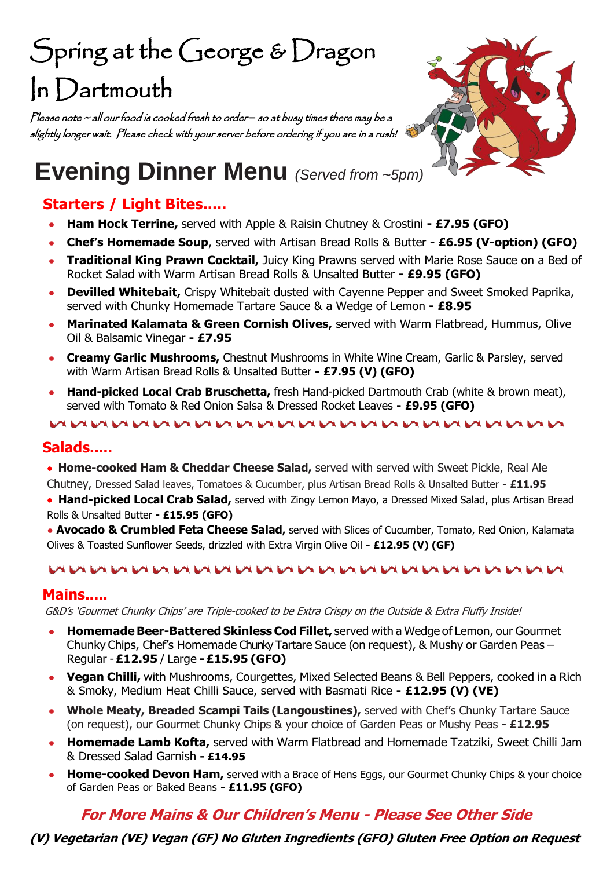# Spring at the George & Dragon In Dartmouth

Please note ~ all our food is cooked fresh to order *–* so at busy times there may be a slightly longer wait. Please check with your server before ordering if you are in a rush!



# **Evening Dinner Menu** *(Served from ~5pm)*

## **Starters / Light Bites.....**

- **Ham Hock Terrine,** served with Apple & Raisin Chutney & Crostini **- £7.95 (GFO)**
- **Chef's Homemade Soup**, served with Artisan Bread Rolls & Butter **- £6.95 (V-option) (GFO)**
- **Traditional King Prawn Cocktail, Juicy King Prawns served with Marie Rose Sauce on a Bed of** Rocket Salad with Warm Artisan Bread Rolls & Unsalted Butter **- £9.95 (GFO)**
- **Devilled Whitebait,** Crispy Whitebait dusted with Cayenne Pepper and Sweet Smoked Paprika, served with Chunky Homemade Tartare Sauce & a Wedge of Lemon **- £8.95**
- **Marinated Kalamata & Green Cornish Olives, served with Warm Flatbread, Hummus, Olive** Oil & Balsamic Vinegar **- £7.95**
- **Creamy Garlic Mushrooms,** Chestnut Mushrooms in White Wine Cream, Garlic & Parsley, served with Warm Artisan Bread Rolls & Unsalted Butter **- £7.95 (V) (GFO)**
- **Hand-picked Local Crab Bruschetta,** fresh Hand-picked Dartmouth Crab (white & brown meat), served with Tomato & Red Onion Salsa & Dressed Rocket Leaves **- £9.95 (GFO)**

#### **Salads.....**

- **Home-cooked Ham & Cheddar Cheese Salad,** served with served with Sweet Pickle, Real Ale Chutney, Dressed Salad leaves, Tomatoes & Cucumber, plus Artisan Bread Rolls & Unsalted Butter **- £11.95**
- **Hand-picked Local Crab Salad,** served with Zingy Lemon Mayo, a Dressed Mixed Salad, plus Artisan Bread Rolls & Unsalted Butter **- £15.95 (GFO)**
- **Avocado & Crumbled Feta Cheese Salad,** served with Slices of Cucumber, Tomato, Red Onion, Kalamata Olives & Toasted Sunflower Seeds, drizzled with Extra Virgin Olive Oil **- £12.95 (V) (GF)**

#### 

#### **Mains.....**

G&D's 'Gourmet Chunky Chips' are Triple-cooked to be Extra Crispy on the Outside & Extra Fluffy Inside!

- **Homemade Beer-Battered Skinless Cod Fillet,** served with a Wedge of Lemon, our Gourmet Chunky Chips, Chef's Homemade Chunky Tartare Sauce (on request), & Mushy or Garden Peas – Regular -**£12.95** / Large **- £15.95 (GFO)**
- **Vegan Chilli,** with Mushrooms, Courgettes, Mixed Selected Beans & Bell Peppers, cooked in a Rich & Smoky, Medium Heat Chilli Sauce, served with Basmati Rice **- £12.95 (V) (VE)**
- **Whole Meaty, Breaded Scampi Tails (Langoustines),** served with Chef's Chunky Tartare Sauce (on request), our Gourmet Chunky Chips & your choice of Garden Peas or Mushy Peas **- £12.95**
- **Homemade Lamb Kofta, served with Warm Flatbread and Homemade Tzatziki, Sweet Chilli Jam** & Dressed Salad Garnish **- £14.95**
- **Home-cooked Devon Ham,** served with a Brace of Hens Eggs, our Gourmet Chunky Chips & your choice of Garden Peas or Baked Beans **- £11.95 (GFO)**

### **For More Mains & Our Children's Menu - Please See Other Side**

#### **(V) Vegetarian (VE) Vegan (GF) No Gluten Ingredients (GFO) Gluten Free Option on Request**